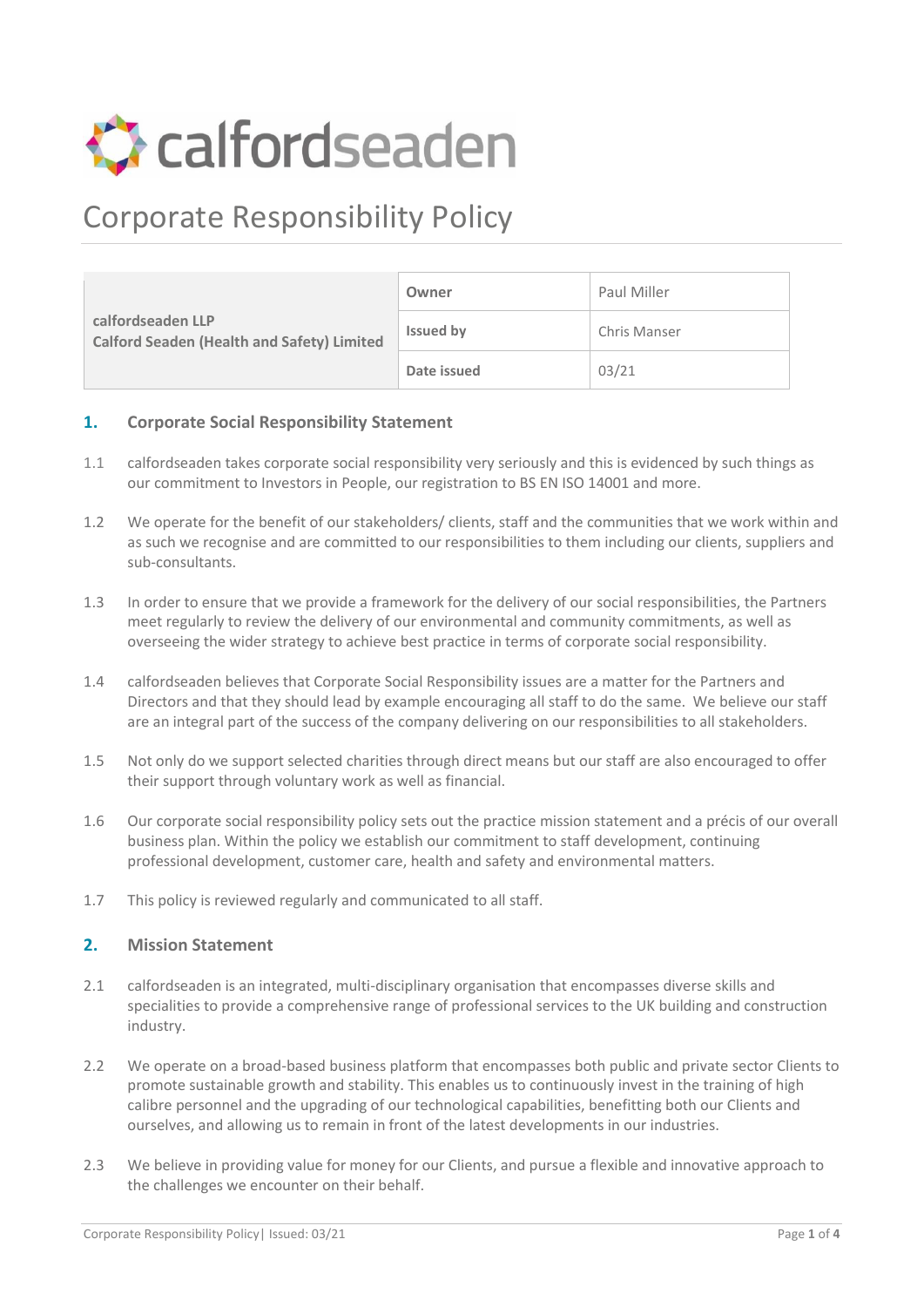

# Corporate Responsibility Policy

| calfordseaden LLP<br><b>Calford Seaden (Health and Safety) Limited</b> | Owner            | Paul Miller  |
|------------------------------------------------------------------------|------------------|--------------|
|                                                                        | <b>Issued by</b> | Chris Manser |
|                                                                        | Date issued      | 03/21        |

#### **1. Corporate Social Responsibility Statement**

- 1.1 calfordseaden takes corporate social responsibility very seriously and this is evidenced by such things as our commitment to Investors in People, our registration to BS EN ISO 14001 and more.
- 1.2 We operate for the benefit of our stakeholders/ clients, staff and the communities that we work within and as such we recognise and are committed to our responsibilities to them including our clients, suppliers and sub-consultants.
- 1.3 In order to ensure that we provide a framework for the delivery of our social responsibilities, the Partners meet regularly to review the delivery of our environmental and community commitments, as well as overseeing the wider strategy to achieve best practice in terms of corporate social responsibility.
- 1.4 calfordseaden believes that Corporate Social Responsibility issues are a matter for the Partners and Directors and that they should lead by example encouraging all staff to do the same. We believe our staff are an integral part of the success of the company delivering on our responsibilities to all stakeholders.
- 1.5 Not only do we support selected charities through direct means but our staff are also encouraged to offer their support through voluntary work as well as financial.
- 1.6 Our corporate social responsibility policy sets out the practice mission statement and a précis of our overall business plan. Within the policy we establish our commitment to staff development, continuing professional development, customer care, health and safety and environmental matters.
- 1.7 This policy is reviewed regularly and communicated to all staff.

#### **2. Mission Statement**

- 2.1 calfordseaden is an integrated, multi-disciplinary organisation that encompasses diverse skills and specialities to provide a comprehensive range of professional services to the UK building and construction industry.
- 2.2 We operate on a broad-based business platform that encompasses both public and private sector Clients to promote sustainable growth and stability. This enables us to continuously invest in the training of high calibre personnel and the upgrading of our technological capabilities, benefitting both our Clients and ourselves, and allowing us to remain in front of the latest developments in our industries.
- 2.3 We believe in providing value for money for our Clients, and pursue a flexible and innovative approach to the challenges we encounter on their behalf.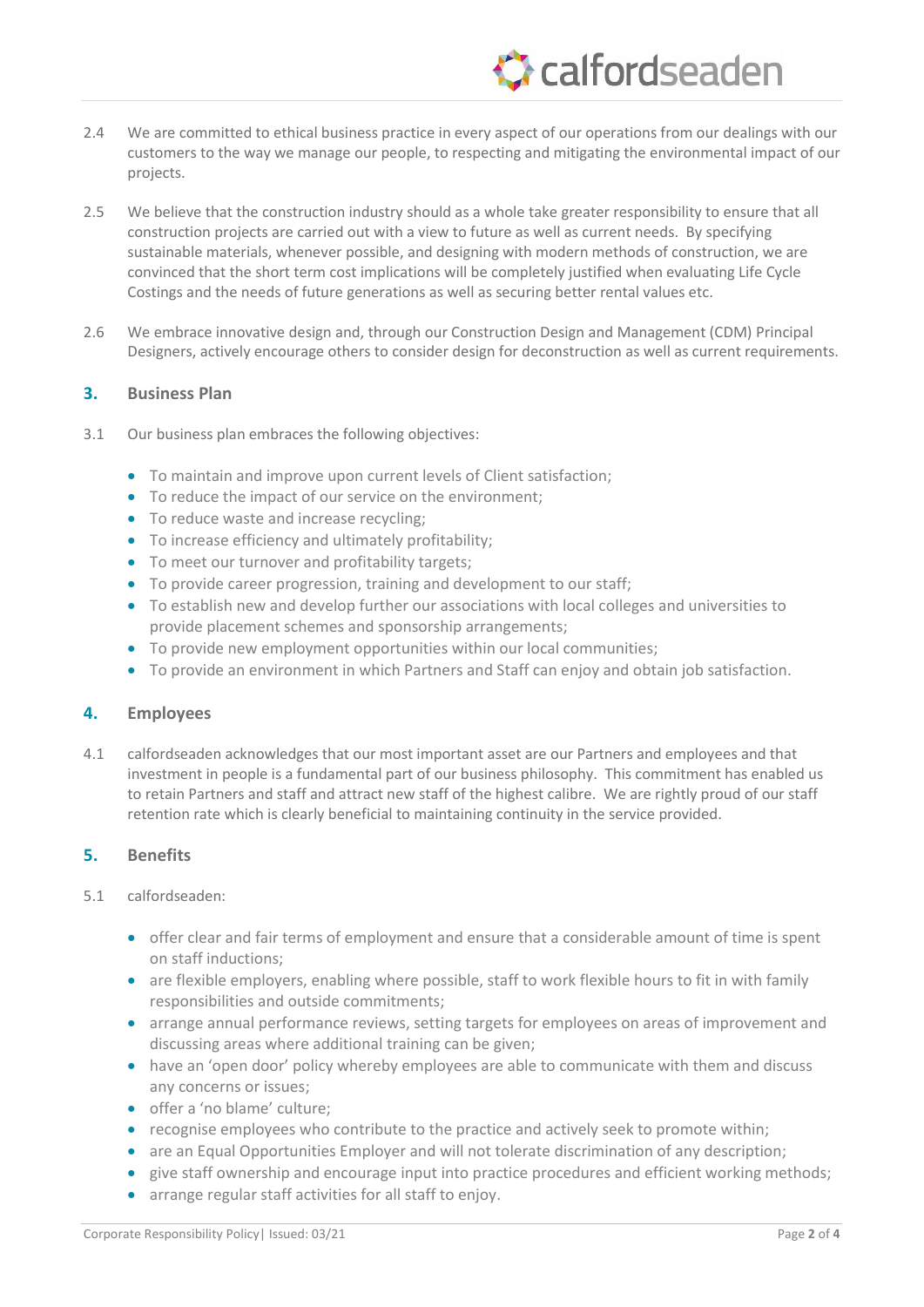# Ccalfordseaden

- 2.4 We are committed to ethical business practice in every aspect of our operations from our dealings with our customers to the way we manage our people, to respecting and mitigating the environmental impact of our projects.
- 2.5 We believe that the construction industry should as a whole take greater responsibility to ensure that all construction projects are carried out with a view to future as well as current needs. By specifying sustainable materials, whenever possible, and designing with modern methods of construction, we are convinced that the short term cost implications will be completely justified when evaluating Life Cycle Costings and the needs of future generations as well as securing better rental values etc.
- 2.6 We embrace innovative design and, through our Construction Design and Management (CDM) Principal Designers, actively encourage others to consider design for deconstruction as well as current requirements.

# **3. Business Plan**

- 3.1 Our business plan embraces the following objectives:
	- To maintain and improve upon current levels of Client satisfaction;
	- To reduce the impact of our service on the environment;
	- To reduce waste and increase recycling;
	- To increase efficiency and ultimately profitability;
	- To meet our turnover and profitability targets;
	- To provide career progression, training and development to our staff;
	- To establish new and develop further our associations with local colleges and universities to provide placement schemes and sponsorship arrangements;
	- To provide new employment opportunities within our local communities;
	- To provide an environment in which Partners and Staff can enjoy and obtain job satisfaction.

# **4. Employees**

4.1 calfordseaden acknowledges that our most important asset are our Partners and employees and that investment in people is a fundamental part of our business philosophy. This commitment has enabled us to retain Partners and staff and attract new staff of the highest calibre. We are rightly proud of our staff retention rate which is clearly beneficial to maintaining continuity in the service provided.

# **5. Benefits**

#### 5.1 calfordseaden:

- offer clear and fair terms of employment and ensure that a considerable amount of time is spent on staff inductions;
- are flexible employers, enabling where possible, staff to work flexible hours to fit in with family responsibilities and outside commitments;
- arrange annual performance reviews, setting targets for employees on areas of improvement and discussing areas where additional training can be given;
- have an 'open door' policy whereby employees are able to communicate with them and discuss any concerns or issues;
- offer a 'no blame' culture;
- recognise employees who contribute to the practice and actively seek to promote within;
- are an Equal Opportunities Employer and will not tolerate discrimination of any description;
- give staff ownership and encourage input into practice procedures and efficient working methods;
- arrange regular staff activities for all staff to enjoy.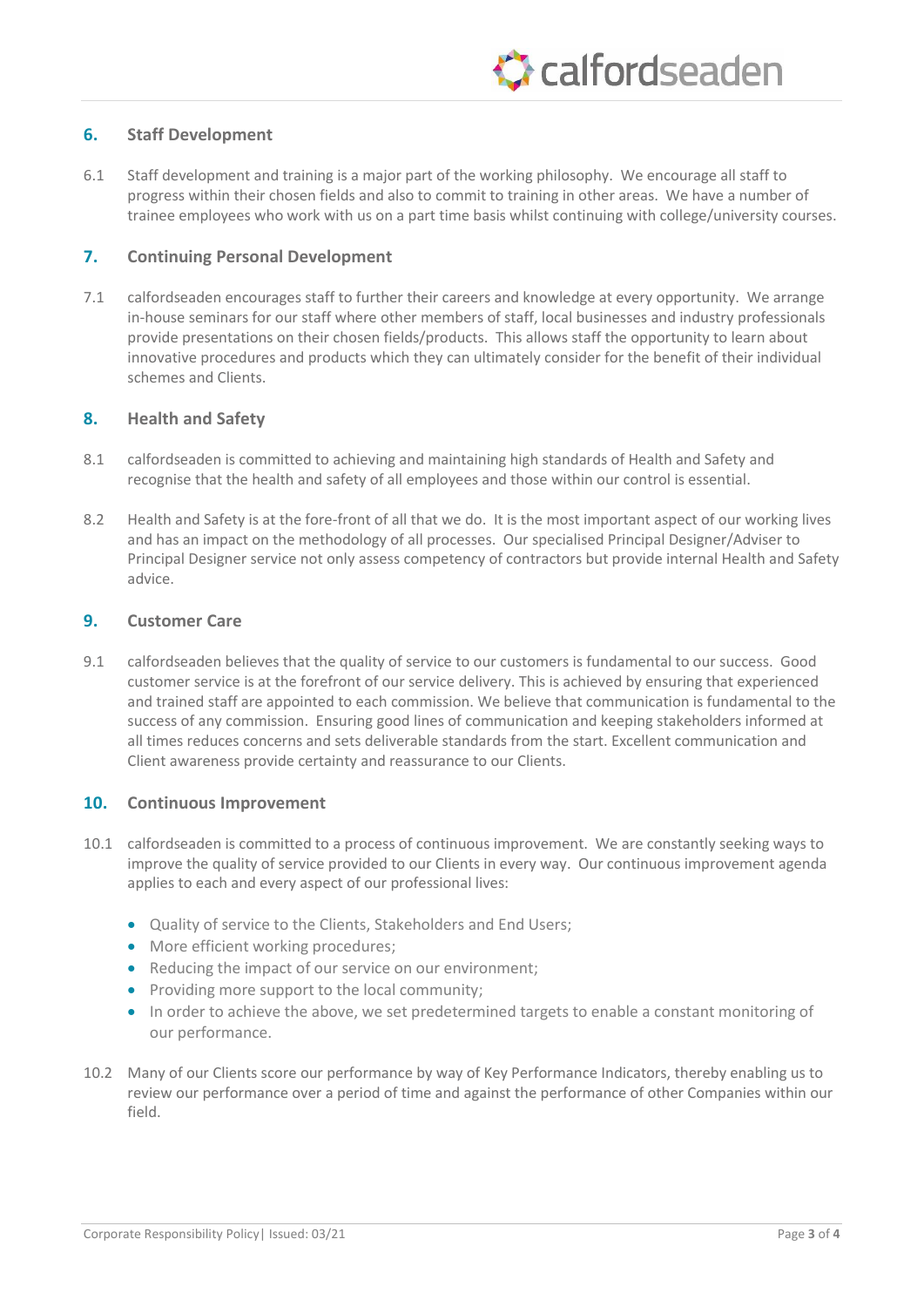# **6. Staff Development**

6.1 Staff development and training is a major part of the working philosophy. We encourage all staff to progress within their chosen fields and also to commit to training in other areas. We have a number of trainee employees who work with us on a part time basis whilst continuing with college/university courses.

# **7. Continuing Personal Development**

7.1 calfordseaden encourages staff to further their careers and knowledge at every opportunity. We arrange in-house seminars for our staff where other members of staff, local businesses and industry professionals provide presentations on their chosen fields/products. This allows staff the opportunity to learn about innovative procedures and products which they can ultimately consider for the benefit of their individual schemes and Clients.

# **8. Health and Safety**

- 8.1 calfordseaden is committed to achieving and maintaining high standards of Health and Safety and recognise that the health and safety of all employees and those within our control is essential.
- 8.2 Health and Safety is at the fore-front of all that we do. It is the most important aspect of our working lives and has an impact on the methodology of all processes. Our specialised Principal Designer/Adviser to Principal Designer service not only assess competency of contractors but provide internal Health and Safety advice.

#### **9. Customer Care**

9.1 calfordseaden believes that the quality of service to our customers is fundamental to our success. Good customer service is at the forefront of our service delivery. This is achieved by ensuring that experienced and trained staff are appointed to each commission. We believe that communication is fundamental to the success of any commission. Ensuring good lines of communication and keeping stakeholders informed at all times reduces concerns and sets deliverable standards from the start. Excellent communication and Client awareness provide certainty and reassurance to our Clients.

# **10. Continuous Improvement**

- 10.1 calfordseaden is committed to a process of continuous improvement. We are constantly seeking ways to improve the quality of service provided to our Clients in every way. Our continuous improvement agenda applies to each and every aspect of our professional lives:
	- Quality of service to the Clients, Stakeholders and End Users;
	- More efficient working procedures;
	- Reducing the impact of our service on our environment;
	- Providing more support to the local community;
	- In order to achieve the above, we set predetermined targets to enable a constant monitoring of our performance.
- 10.2 Many of our Clients score our performance by way of Key Performance Indicators, thereby enabling us to review our performance over a period of time and against the performance of other Companies within our field.